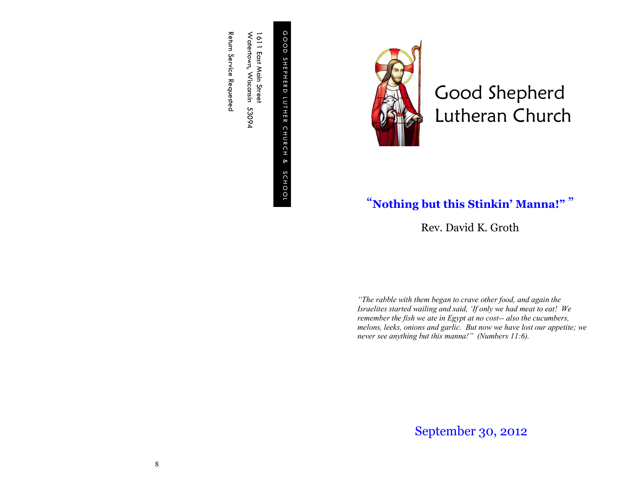GOOD G O O D SHEPHERD S H E P H E R D LUTHER CHURCH & SCHOOL L U T H ER C H U R C H S C H O O L

Watertown, Wisconsin 53094 Watertown, Wisconsin 53094 1611 East Main Street 611 East Main Street

Return Service Requested Return Service Requested



Good Shepherd Lutheran Church

## "**Nothing but this Stinkin' Manna!"** "

Rev. David K. Groth

*"The rabble with them began to crave other food, and again the Israelites started wailing and said, 'If only we had meat to eat! We remember the fish we ate in Egypt at no cost-- also the cucumbers, melons, leeks, onions and garlic. But now we have lost our appetite; we never see anything but this manna!" (Numbers 11:6).*

September 30, 2012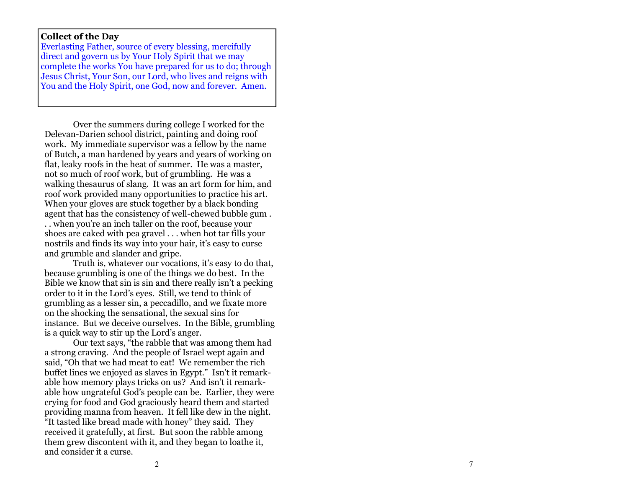## **Collect of the Day**

Everlasting Father, source of every blessing, mercifully direct and govern us by Your Holy Spirit that we may complete the works You have prepared for us to do; through Jesus Christ, Your Son, our Lord, who lives and reigns with You and the Holy Spirit, one God, now and forever. Amen.

Over the summers during college I worked for the Delevan -Darien school district, painting and doing roof work. My immediate supervisor was a fellow by the name of Butch, a man hardened by years and years of working on flat, leaky roofs in the heat of summer. He was a master, not so much of roof work, but of grumbling. He was a walking thesaurus of slang. It was an art form for him, and roof work provided many opportunities to practice his art. When your gloves are stuck together by a black bonding agent that has the consistency of well -chewed bubble gum . . . when you're an inch taller on the roof, because your shoes are caked with pea gravel . . . when hot tar fills your nostrils and finds its way into your hair, it's easy to curse and grumble and slander and gripe.

Truth is, whatever our vocations, it's easy to do that, because grumbling is one of the things we do best. In the Bible we know that sin is sin and there really isn't a pecking order to it in the Lord's eyes. Still, we tend to think of grumbling as a lesser sin, a peccadillo, and we fixate more on the shocking the sensational, the sexual sins for instance. But we deceive ourselves. In the Bible, grumbling is a quick way to stir up the Lord's anger.

Our text says, "the rabble that was among them had a strong craving. And the people of Israel wept again and said, "Oh that we had meat to eat! We remember the rich buffet lines we enjoyed as slaves in Egypt." Isn't it remarkable how memory plays tricks on us? And isn't it remarkable how ungrateful God's people can be. Earlier, they were crying for food and God graciously heard them and started providing manna from heaven. It fell like dew in the night. "It tasted like bread made with honey" they said. They received it gratefully, at first. But soon the rabble among them grew discontent with it, and they began to loathe it, and consider it a curse.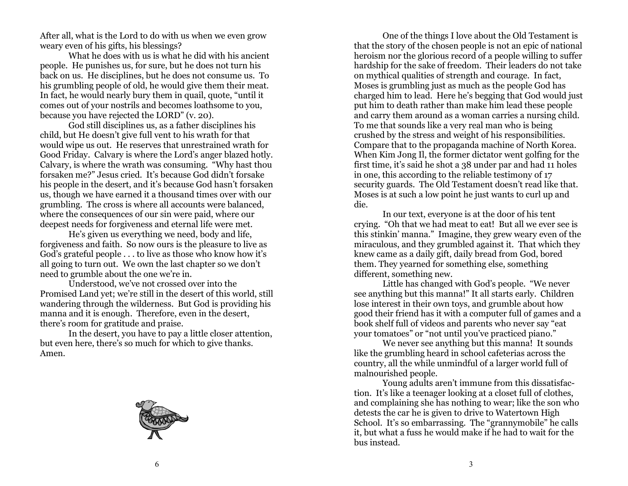After all, what is the Lord to do with us when we even grow weary even of his gifts, his blessings?

What he does with us is what he did with his ancient people. He punishes us, for sure, but he does not turn his back on us. He disciplines, but he does not consume us. To his grumbling people of old, he would give them their meat. In fact, he would nearly bury them in quail, quote, "until it comes out of your nostrils and becomes loathsome to you, because you have rejected the LORD" (v. 20).

God still disciplines us, as a father disciplines his child, but He doesn't give full vent to his wrath for that would wipe us out. He reserves that unrestrained wrath for Good Friday. Calvary is where the Lord's anger blazed hotly. Calvary, is where the wrath was consuming. "Why hast thou forsaken me?" Jesus cried. It's because God didn't forsake his people in the desert, and it's because God hasn't forsaken us, though we have earned it a thousand times over with our grumbling. The cross is where all accounts were balanced, where the consequences of our sin were paid, where our deepest needs for forgiveness and eternal life were met.

He's given us everything we need, body and life, forgiveness and faith. So now ours is the pleasure to live as God's grateful people . . . to live as those who know how it's all going to turn out. We own the last chapter so we don't need to grumble about the one we're in.

Understood, we've not crossed over into the Promised Land yet; we're still in the desert of this world, still wandering through the wilderness. But God is providing his manna and it is enough. Therefore, even in the desert, there's room for gratitude and praise.

In the desert, you have to pay a little closer attention, but even here, there's so much for which to give thanks. Amen.



One of the things I love about the Old Testament is that the story of the chosen people is not an epic of national heroism nor the glorious record of a people willing to suffer hardship for the sake of freedom. Their leaders do not take on mythical qualities of strength and courage. In fact, Moses is grumbling just as much as the people God has charged him to lead. Here he's begging that God would just put him to death rather than make him lead these people and carry them around as a woman carries a nursing child. To me that sounds like a very real man who is being crushed by the stress and weight of his responsibilities. Compare that to the propaganda machine of North Korea. When Kim Jong Il, the former dictator went golfing for the first time, it's said he shot a 38 under par and had 11 holes in one, this according to the reliable testimony of 17 security guards. The Old Testament doesn't read like that. Moses is at such a low point he just wants to curl up and die.

In our text, everyone is at the door of his tent crying. "Oh that we had meat to eat! But all we ever see is this stinkin' manna." Imagine, they grew weary even of the miraculous, and they grumbled against it. That which they knew came as a daily gift, daily bread from God, bored them. They yearned for something else, something different, something new.

Little has changed with God's people. "We never see anything but this manna!" It all starts early. Children lose interest in their own toys, and grumble about how good their friend has it with a computer full of games and a book shelf full of videos and parents who never say "eat your tomatoes" or "not until you've practiced piano."

We never see anything but this manna! It sounds like the grumbling heard in school cafeterias across the country, all the while unmindful of a larger world full of malnourished people.

Young adults aren't immune from this dissatisfaction. It's like a teenager looking at a closet full of clothes, and complaining she has nothing to wear; like the son who detests the car he is given to drive to Watertown High School. It's so embarrassing. The "grannymobile" he calls it, but what a fuss he would make if he had to wait for the bus instead.